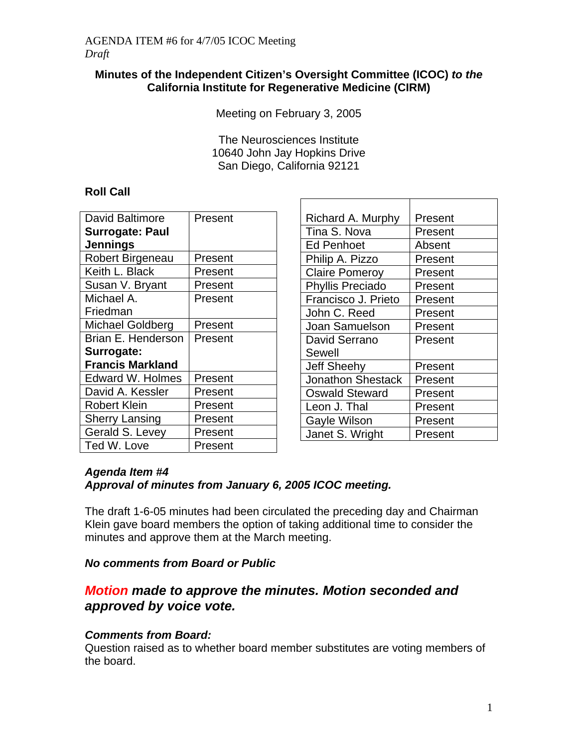### **Minutes of the Independent Citizen's Oversight Committee (ICOC)** *to the* **California Institute for Regenerative Medicine (CIRM)**

Meeting on February 3, 2005

The Neurosciences Institute 10640 John Jay Hopkins Drive San Diego, California 92121

## **Roll Call**

| David Baltimore         | Present |
|-------------------------|---------|
| <b>Surrogate: Paul</b>  |         |
| <b>Jennings</b>         |         |
| Robert Birgeneau        | Present |
| Keith L. Black          | Present |
| Susan V. Bryant         | Present |
| Michael A.              | Present |
| Friedman                |         |
| <b>Michael Goldberg</b> | Present |
| Brian E. Henderson      | Present |
| Surrogate:              |         |
| <b>Francis Markland</b> |         |
| <b>Edward W. Holmes</b> | Present |
| David A. Kessler        | Present |
| Robert Klein            | Present |
| <b>Sherry Lansing</b>   | Present |
| Gerald S. Levey         | Present |
| Ted W. Love             | Present |

| Present |
|---------|
| Present |
| Absent  |
| Present |
| Present |
| Present |
| Present |
| Present |
| Present |
| Present |
|         |
| Present |
| Present |
| Present |
| Present |
| Present |
| Present |
|         |

## *Agenda Item #4*

## *Approval of minutes from January 6, 2005 ICOC meeting.*

The draft 1-6-05 minutes had been circulated the preceding day and Chairman Klein gave board members the option of taking additional time to consider the minutes and approve them at the March meeting.

#### *No comments from Board or Public*

## *Motion made to approve the minutes. Motion seconded and approved by voice vote.*

## *Comments from Board:*

Question raised as to whether board member substitutes are voting members of the board.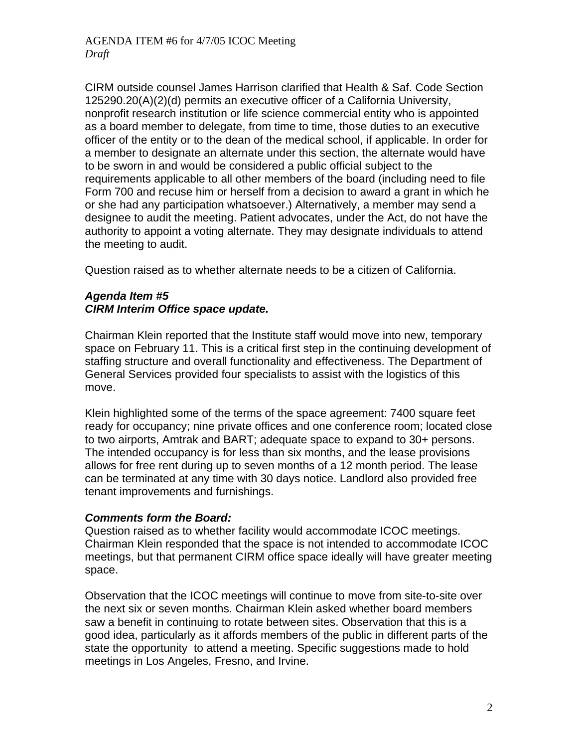CIRM outside counsel James Harrison clarified that Health & Saf. Code Section 125290.20(A)(2)(d) permits an executive officer of a California University, nonprofit research institution or life science commercial entity who is appointed as a board member to delegate, from time to time, those duties to an executive officer of the entity or to the dean of the medical school, if applicable. In order for a member to designate an alternate under this section, the alternate would have to be sworn in and would be considered a public official subject to the requirements applicable to all other members of the board (including need to file Form 700 and recuse him or herself from a decision to award a grant in which he or she had any participation whatsoever.) Alternatively, a member may send a designee to audit the meeting. Patient advocates, under the Act, do not have the authority to appoint a voting alternate. They may designate individuals to attend the meeting to audit.

Question raised as to whether alternate needs to be a citizen of California.

#### *Agenda Item #5 CIRM Interim Office space update.*

Chairman Klein reported that the Institute staff would move into new, temporary space on February 11. This is a critical first step in the continuing development of staffing structure and overall functionality and effectiveness. The Department of General Services provided four specialists to assist with the logistics of this move.

Klein highlighted some of the terms of the space agreement: 7400 square feet ready for occupancy; nine private offices and one conference room; located close to two airports, Amtrak and BART; adequate space to expand to 30+ persons. The intended occupancy is for less than six months, and the lease provisions allows for free rent during up to seven months of a 12 month period. The lease can be terminated at any time with 30 days notice. Landlord also provided free tenant improvements and furnishings.

#### *Comments form the Board:*

Question raised as to whether facility would accommodate ICOC meetings. Chairman Klein responded that the space is not intended to accommodate ICOC meetings, but that permanent CIRM office space ideally will have greater meeting space.

Observation that the ICOC meetings will continue to move from site-to-site over the next six or seven months. Chairman Klein asked whether board members saw a benefit in continuing to rotate between sites. Observation that this is a good idea, particularly as it affords members of the public in different parts of the state the opportunity to attend a meeting. Specific suggestions made to hold meetings in Los Angeles, Fresno, and Irvine.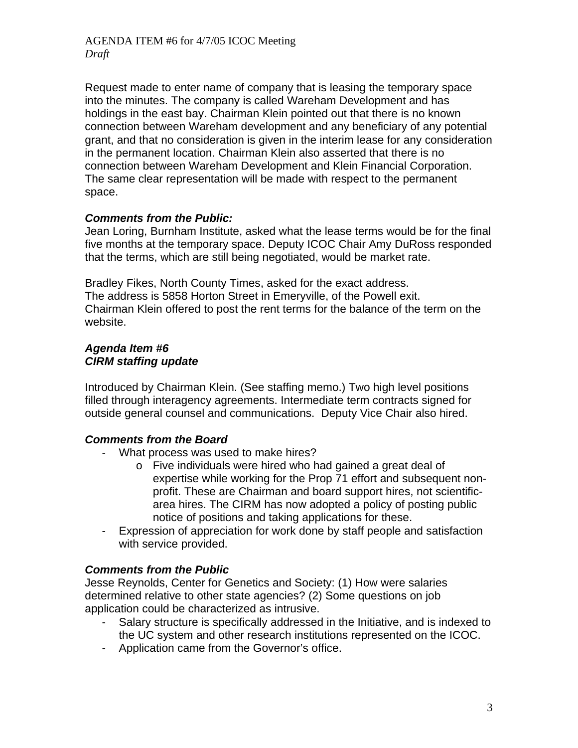Request made to enter name of company that is leasing the temporary space into the minutes. The company is called Wareham Development and has holdings in the east bay. Chairman Klein pointed out that there is no known connection between Wareham development and any beneficiary of any potential grant, and that no consideration is given in the interim lease for any consideration in the permanent location. Chairman Klein also asserted that there is no connection between Wareham Development and Klein Financial Corporation. The same clear representation will be made with respect to the permanent space.

### *Comments from the Public:*

Jean Loring, Burnham Institute, asked what the lease terms would be for the final five months at the temporary space. Deputy ICOC Chair Amy DuRoss responded that the terms, which are still being negotiated, would be market rate.

Bradley Fikes, North County Times, asked for the exact address. The address is 5858 Horton Street in Emeryville, of the Powell exit. Chairman Klein offered to post the rent terms for the balance of the term on the website.

#### *Agenda Item #6 CIRM staffing update*

Introduced by Chairman Klein. (See staffing memo.) Two high level positions filled through interagency agreements. Intermediate term contracts signed for outside general counsel and communications. Deputy Vice Chair also hired.

## *Comments from the Board*

- What process was used to make hires?
	- o Five individuals were hired who had gained a great deal of expertise while working for the Prop 71 effort and subsequent nonprofit. These are Chairman and board support hires, not scientificarea hires. The CIRM has now adopted a policy of posting public notice of positions and taking applications for these.
- Expression of appreciation for work done by staff people and satisfaction with service provided.

## *Comments from the Public*

Jesse Reynolds, Center for Genetics and Society: (1) How were salaries determined relative to other state agencies? (2) Some questions on job application could be characterized as intrusive.

- Salary structure is specifically addressed in the Initiative, and is indexed to the UC system and other research institutions represented on the ICOC.
- Application came from the Governor's office.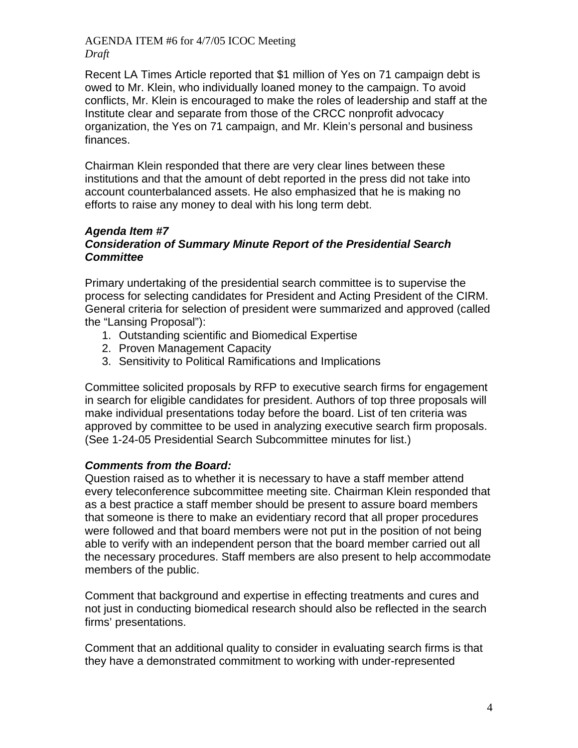Recent LA Times Article reported that \$1 million of Yes on 71 campaign debt is owed to Mr. Klein, who individually loaned money to the campaign. To avoid conflicts, Mr. Klein is encouraged to make the roles of leadership and staff at the Institute clear and separate from those of the CRCC nonprofit advocacy organization, the Yes on 71 campaign, and Mr. Klein's personal and business finances.

Chairman Klein responded that there are very clear lines between these institutions and that the amount of debt reported in the press did not take into account counterbalanced assets. He also emphasized that he is making no efforts to raise any money to deal with his long term debt.

### *Agenda Item #7 Consideration of Summary Minute Report of the Presidential Search Committee*

Primary undertaking of the presidential search committee is to supervise the process for selecting candidates for President and Acting President of the CIRM. General criteria for selection of president were summarized and approved (called the "Lansing Proposal"):

- 1. Outstanding scientific and Biomedical Expertise
- 2. Proven Management Capacity
- 3. Sensitivity to Political Ramifications and Implications

Committee solicited proposals by RFP to executive search firms for engagement in search for eligible candidates for president. Authors of top three proposals will make individual presentations today before the board. List of ten criteria was approved by committee to be used in analyzing executive search firm proposals. (See 1-24-05 Presidential Search Subcommittee minutes for list.)

## *Comments from the Board:*

Question raised as to whether it is necessary to have a staff member attend every teleconference subcommittee meeting site. Chairman Klein responded that as a best practice a staff member should be present to assure board members that someone is there to make an evidentiary record that all proper procedures were followed and that board members were not put in the position of not being able to verify with an independent person that the board member carried out all the necessary procedures. Staff members are also present to help accommodate members of the public.

Comment that background and expertise in effecting treatments and cures and not just in conducting biomedical research should also be reflected in the search firms' presentations.

Comment that an additional quality to consider in evaluating search firms is that they have a demonstrated commitment to working with under-represented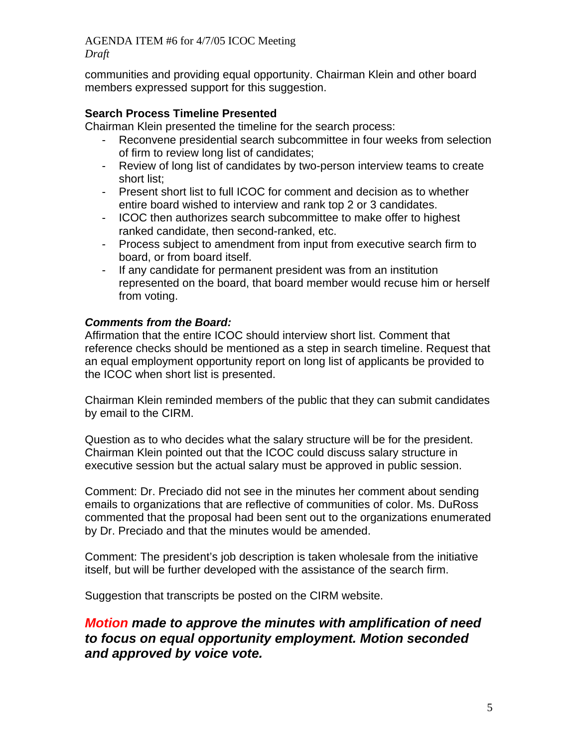communities and providing equal opportunity. Chairman Klein and other board members expressed support for this suggestion.

### **Search Process Timeline Presented**

Chairman Klein presented the timeline for the search process:

- Reconvene presidential search subcommittee in four weeks from selection of firm to review long list of candidates;
- Review of long list of candidates by two-person interview teams to create short list;
- Present short list to full ICOC for comment and decision as to whether entire board wished to interview and rank top 2 or 3 candidates.
- ICOC then authorizes search subcommittee to make offer to highest ranked candidate, then second-ranked, etc.
- Process subject to amendment from input from executive search firm to board, or from board itself.
- If any candidate for permanent president was from an institution represented on the board, that board member would recuse him or herself from voting.

## *Comments from the Board:*

Affirmation that the entire ICOC should interview short list. Comment that reference checks should be mentioned as a step in search timeline. Request that an equal employment opportunity report on long list of applicants be provided to the ICOC when short list is presented.

Chairman Klein reminded members of the public that they can submit candidates by email to the CIRM.

Question as to who decides what the salary structure will be for the president. Chairman Klein pointed out that the ICOC could discuss salary structure in executive session but the actual salary must be approved in public session.

Comment: Dr. Preciado did not see in the minutes her comment about sending emails to organizations that are reflective of communities of color. Ms. DuRoss commented that the proposal had been sent out to the organizations enumerated by Dr. Preciado and that the minutes would be amended.

Comment: The president's job description is taken wholesale from the initiative itself, but will be further developed with the assistance of the search firm.

Suggestion that transcripts be posted on the CIRM website.

## *Motion made to approve the minutes with amplification of need to focus on equal opportunity employment. Motion seconded and approved by voice vote.*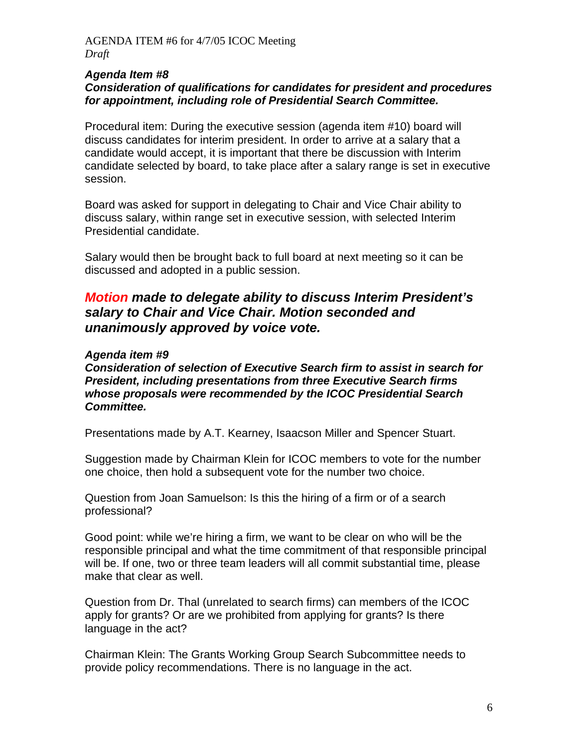#### *Agenda Item #8 Consideration of qualifications for candidates for president and procedures for appointment, including role of Presidential Search Committee.*

Procedural item: During the executive session (agenda item #10) board will discuss candidates for interim president. In order to arrive at a salary that a candidate would accept, it is important that there be discussion with Interim candidate selected by board, to take place after a salary range is set in executive session.

Board was asked for support in delegating to Chair and Vice Chair ability to discuss salary, within range set in executive session, with selected Interim Presidential candidate.

Salary would then be brought back to full board at next meeting so it can be discussed and adopted in a public session.

## *Motion made to delegate ability to discuss Interim President's salary to Chair and Vice Chair. Motion seconded and unanimously approved by voice vote.*

#### *Agenda item #9*

*Consideration of selection of Executive Search firm to assist in search for President, including presentations from three Executive Search firms whose proposals were recommended by the ICOC Presidential Search Committee.* 

Presentations made by A.T. Kearney, Isaacson Miller and Spencer Stuart.

Suggestion made by Chairman Klein for ICOC members to vote for the number one choice, then hold a subsequent vote for the number two choice.

Question from Joan Samuelson: Is this the hiring of a firm or of a search professional?

Good point: while we're hiring a firm, we want to be clear on who will be the responsible principal and what the time commitment of that responsible principal will be. If one, two or three team leaders will all commit substantial time, please make that clear as well.

Question from Dr. Thal (unrelated to search firms) can members of the ICOC apply for grants? Or are we prohibited from applying for grants? Is there language in the act?

Chairman Klein: The Grants Working Group Search Subcommittee needs to provide policy recommendations. There is no language in the act.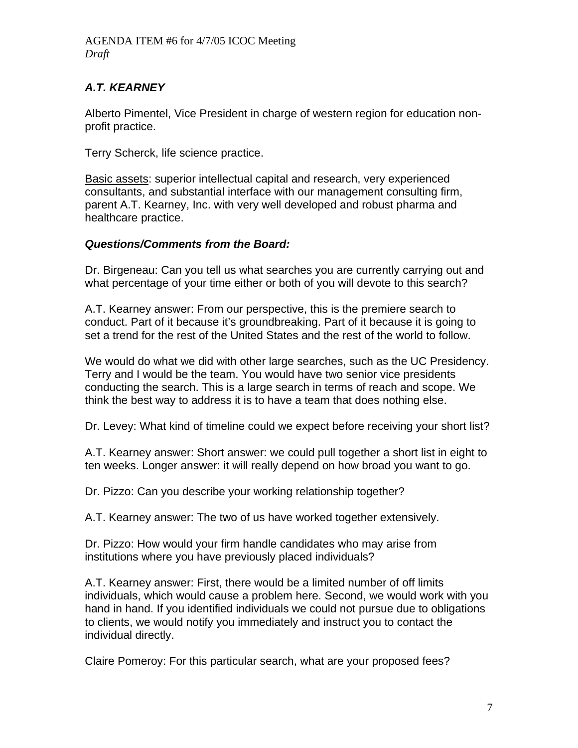## *A.T. KEARNEY*

Alberto Pimentel, Vice President in charge of western region for education nonprofit practice.

Terry Scherck, life science practice.

Basic assets: superior intellectual capital and research, very experienced consultants, and substantial interface with our management consulting firm, parent A.T. Kearney, Inc. with very well developed and robust pharma and healthcare practice.

### *Questions/Comments from the Board:*

Dr. Birgeneau: Can you tell us what searches you are currently carrying out and what percentage of your time either or both of you will devote to this search?

A.T. Kearney answer: From our perspective, this is the premiere search to conduct. Part of it because it's groundbreaking. Part of it because it is going to set a trend for the rest of the United States and the rest of the world to follow.

We would do what we did with other large searches, such as the UC Presidency. Terry and I would be the team. You would have two senior vice presidents conducting the search. This is a large search in terms of reach and scope. We think the best way to address it is to have a team that does nothing else.

Dr. Levey: What kind of timeline could we expect before receiving your short list?

A.T. Kearney answer: Short answer: we could pull together a short list in eight to ten weeks. Longer answer: it will really depend on how broad you want to go.

Dr. Pizzo: Can you describe your working relationship together?

A.T. Kearney answer: The two of us have worked together extensively.

Dr. Pizzo: How would your firm handle candidates who may arise from institutions where you have previously placed individuals?

A.T. Kearney answer: First, there would be a limited number of off limits individuals, which would cause a problem here. Second, we would work with you hand in hand. If you identified individuals we could not pursue due to obligations to clients, we would notify you immediately and instruct you to contact the individual directly.

Claire Pomeroy: For this particular search, what are your proposed fees?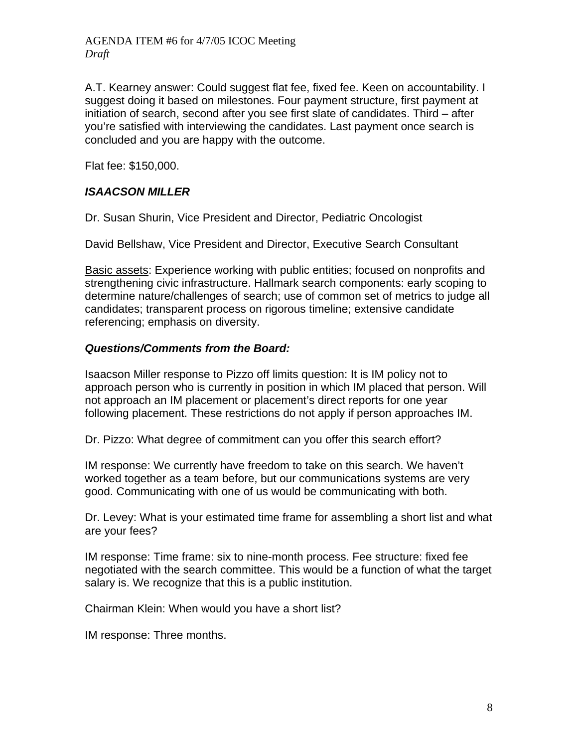A.T. Kearney answer: Could suggest flat fee, fixed fee. Keen on accountability. I suggest doing it based on milestones. Four payment structure, first payment at initiation of search, second after you see first slate of candidates. Third – after you're satisfied with interviewing the candidates. Last payment once search is concluded and you are happy with the outcome.

Flat fee: \$150,000.

## *ISAACSON MILLER*

Dr. Susan Shurin, Vice President and Director, Pediatric Oncologist

David Bellshaw, Vice President and Director, Executive Search Consultant

Basic assets: Experience working with public entities; focused on nonprofits and strengthening civic infrastructure. Hallmark search components: early scoping to determine nature/challenges of search; use of common set of metrics to judge all candidates; transparent process on rigorous timeline; extensive candidate referencing; emphasis on diversity.

#### *Questions/Comments from the Board:*

Isaacson Miller response to Pizzo off limits question: It is IM policy not to approach person who is currently in position in which IM placed that person. Will not approach an IM placement or placement's direct reports for one year following placement. These restrictions do not apply if person approaches IM.

Dr. Pizzo: What degree of commitment can you offer this search effort?

IM response: We currently have freedom to take on this search. We haven't worked together as a team before, but our communications systems are very good. Communicating with one of us would be communicating with both.

Dr. Levey: What is your estimated time frame for assembling a short list and what are your fees?

IM response: Time frame: six to nine-month process. Fee structure: fixed fee negotiated with the search committee. This would be a function of what the target salary is. We recognize that this is a public institution.

Chairman Klein: When would you have a short list?

IM response: Three months.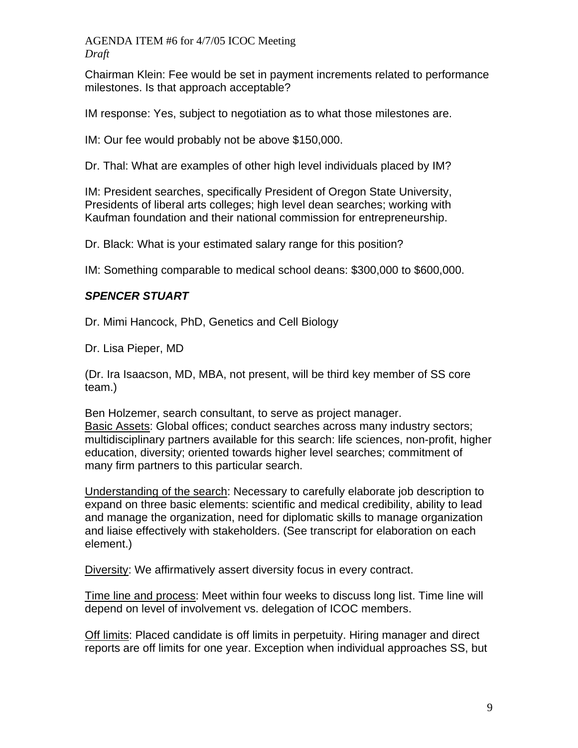Chairman Klein: Fee would be set in payment increments related to performance milestones. Is that approach acceptable?

IM response: Yes, subject to negotiation as to what those milestones are.

IM: Our fee would probably not be above \$150,000.

Dr. Thal: What are examples of other high level individuals placed by IM?

IM: President searches, specifically President of Oregon State University, Presidents of liberal arts colleges; high level dean searches; working with Kaufman foundation and their national commission for entrepreneurship.

Dr. Black: What is your estimated salary range for this position?

IM: Something comparable to medical school deans: \$300,000 to \$600,000.

## *SPENCER STUART*

Dr. Mimi Hancock, PhD, Genetics and Cell Biology

Dr. Lisa Pieper, MD

(Dr. Ira Isaacson, MD, MBA, not present, will be third key member of SS core team.)

Ben Holzemer, search consultant, to serve as project manager. Basic Assets: Global offices; conduct searches across many industry sectors; multidisciplinary partners available for this search: life sciences, non-profit, higher education, diversity; oriented towards higher level searches; commitment of many firm partners to this particular search.

Understanding of the search: Necessary to carefully elaborate job description to expand on three basic elements: scientific and medical credibility, ability to lead and manage the organization, need for diplomatic skills to manage organization and liaise effectively with stakeholders. (See transcript for elaboration on each element.)

Diversity: We affirmatively assert diversity focus in every contract.

Time line and process: Meet within four weeks to discuss long list. Time line will depend on level of involvement vs. delegation of ICOC members.

Off limits: Placed candidate is off limits in perpetuity. Hiring manager and direct reports are off limits for one year. Exception when individual approaches SS, but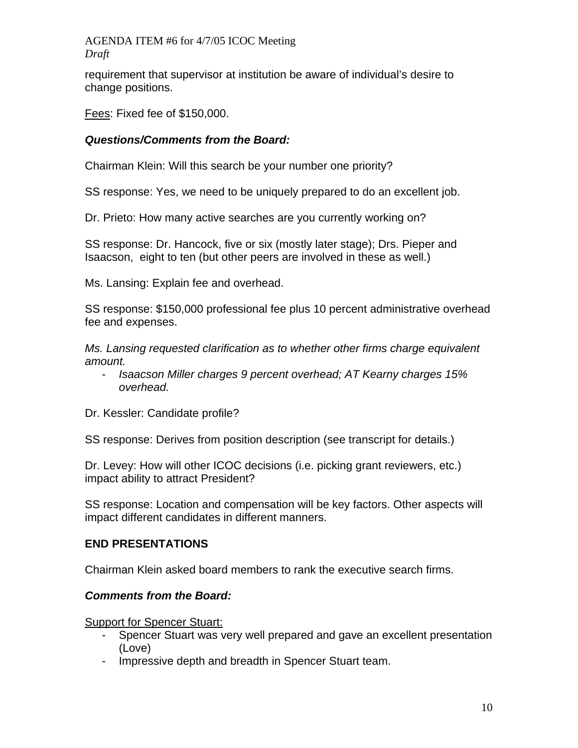requirement that supervisor at institution be aware of individual's desire to change positions.

Fees: Fixed fee of \$150,000.

## *Questions/Comments from the Board:*

Chairman Klein: Will this search be your number one priority?

SS response: Yes, we need to be uniquely prepared to do an excellent job.

Dr. Prieto: How many active searches are you currently working on?

SS response: Dr. Hancock, five or six (mostly later stage); Drs. Pieper and Isaacson, eight to ten (but other peers are involved in these as well.)

Ms. Lansing: Explain fee and overhead.

SS response: \$150,000 professional fee plus 10 percent administrative overhead fee and expenses.

*Ms. Lansing requested clarification as to whether other firms charge equivalent amount.* 

- *Isaacson Miller charges 9 percent overhead; AT Kearny charges 15% overhead.*
- Dr. Kessler: Candidate profile?

SS response: Derives from position description (see transcript for details.)

Dr. Levey: How will other ICOC decisions (i.e. picking grant reviewers, etc.) impact ability to attract President?

SS response: Location and compensation will be key factors. Other aspects will impact different candidates in different manners.

## **END PRESENTATIONS**

Chairman Klein asked board members to rank the executive search firms.

## *Comments from the Board:*

#### Support for Spencer Stuart:

- Spencer Stuart was very well prepared and gave an excellent presentation (Love)
- Impressive depth and breadth in Spencer Stuart team.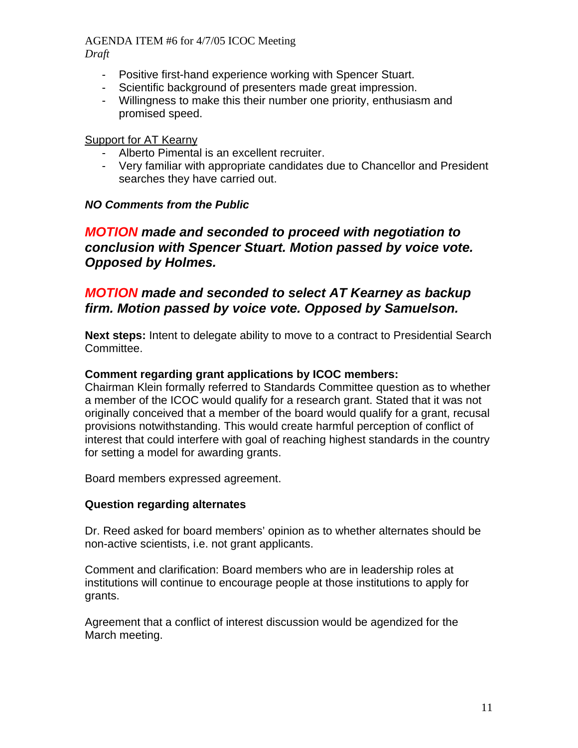*Draft* 

- Positive first-hand experience working with Spencer Stuart.
- Scientific background of presenters made great impression.
- Willingness to make this their number one priority, enthusiasm and promised speed.

## Support for AT Kearny

- Alberto Pimental is an excellent recruiter.
- Very familiar with appropriate candidates due to Chancellor and President searches they have carried out.

## *NO Comments from the Public*

## *MOTION made and seconded to proceed with negotiation to conclusion with Spencer Stuart. Motion passed by voice vote. Opposed by Holmes.*

## *MOTION made and seconded to select AT Kearney as backup firm. Motion passed by voice vote. Opposed by Samuelson.*

**Next steps:** Intent to delegate ability to move to a contract to Presidential Search Committee.

### **Comment regarding grant applications by ICOC members:**

Chairman Klein formally referred to Standards Committee question as to whether a member of the ICOC would qualify for a research grant. Stated that it was not originally conceived that a member of the board would qualify for a grant, recusal provisions notwithstanding. This would create harmful perception of conflict of interest that could interfere with goal of reaching highest standards in the country for setting a model for awarding grants.

Board members expressed agreement.

## **Question regarding alternates**

Dr. Reed asked for board members' opinion as to whether alternates should be non-active scientists, i.e. not grant applicants.

Comment and clarification: Board members who are in leadership roles at institutions will continue to encourage people at those institutions to apply for grants.

Agreement that a conflict of interest discussion would be agendized for the March meeting.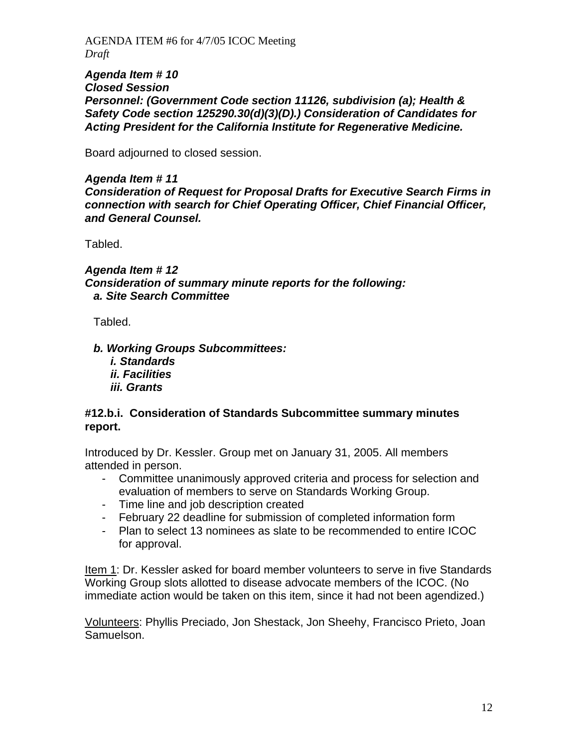*Agenda Item # 10 Closed Session Personnel: (Government Code section 11126, subdivision (a); Health & Safety Code section 125290.30(d)(3)(D).) Consideration of Candidates for Acting President for the California Institute for Regenerative Medicine.* 

Board adjourned to closed session.

*Agenda Item # 11 Consideration of Request for Proposal Drafts for Executive Search Firms in connection with search for Chief Operating Officer, Chief Financial Officer, and General Counsel.* 

Tabled.

*Agenda Item # 12 Consideration of summary minute reports for the following: a. Site Search Committee* 

Tabled.

*b. Working Groups Subcommittees:* 

*i. Standards ii. Facilities iii. Grants* 

#### **#12.b.i. Consideration of Standards Subcommittee summary minutes report.**

Introduced by Dr. Kessler. Group met on January 31, 2005. All members attended in person.

- Committee unanimously approved criteria and process for selection and evaluation of members to serve on Standards Working Group.
- Time line and job description created
- February 22 deadline for submission of completed information form
- Plan to select 13 nominees as slate to be recommended to entire ICOC for approval.

Item 1: Dr. Kessler asked for board member volunteers to serve in five Standards Working Group slots allotted to disease advocate members of the ICOC. (No immediate action would be taken on this item, since it had not been agendized.)

Volunteers: Phyllis Preciado, Jon Shestack, Jon Sheehy, Francisco Prieto, Joan Samuelson.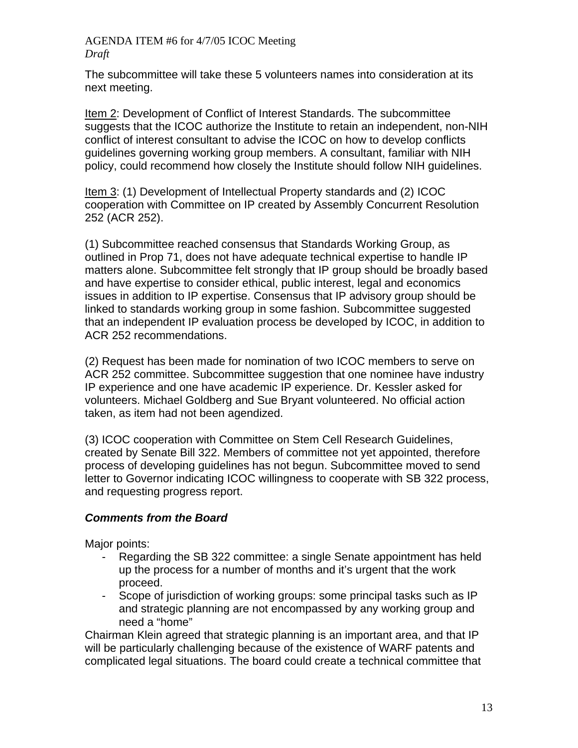The subcommittee will take these 5 volunteers names into consideration at its next meeting.

Item 2: Development of Conflict of Interest Standards. The subcommittee suggests that the ICOC authorize the Institute to retain an independent, non-NIH conflict of interest consultant to advise the ICOC on how to develop conflicts guidelines governing working group members. A consultant, familiar with NIH policy, could recommend how closely the Institute should follow NIH guidelines.

Item 3: (1) Development of Intellectual Property standards and (2) ICOC cooperation with Committee on IP created by Assembly Concurrent Resolution 252 (ACR 252).

(1) Subcommittee reached consensus that Standards Working Group, as outlined in Prop 71, does not have adequate technical expertise to handle IP matters alone. Subcommittee felt strongly that IP group should be broadly based and have expertise to consider ethical, public interest, legal and economics issues in addition to IP expertise. Consensus that IP advisory group should be linked to standards working group in some fashion. Subcommittee suggested that an independent IP evaluation process be developed by ICOC, in addition to ACR 252 recommendations.

(2) Request has been made for nomination of two ICOC members to serve on ACR 252 committee. Subcommittee suggestion that one nominee have industry IP experience and one have academic IP experience. Dr. Kessler asked for volunteers. Michael Goldberg and Sue Bryant volunteered. No official action taken, as item had not been agendized.

(3) ICOC cooperation with Committee on Stem Cell Research Guidelines, created by Senate Bill 322. Members of committee not yet appointed, therefore process of developing guidelines has not begun. Subcommittee moved to send letter to Governor indicating ICOC willingness to cooperate with SB 322 process, and requesting progress report.

## *Comments from the Board*

Major points:

- Regarding the SB 322 committee: a single Senate appointment has held up the process for a number of months and it's urgent that the work proceed.
- Scope of jurisdiction of working groups: some principal tasks such as IP and strategic planning are not encompassed by any working group and need a "home"

Chairman Klein agreed that strategic planning is an important area, and that IP will be particularly challenging because of the existence of WARF patents and complicated legal situations. The board could create a technical committee that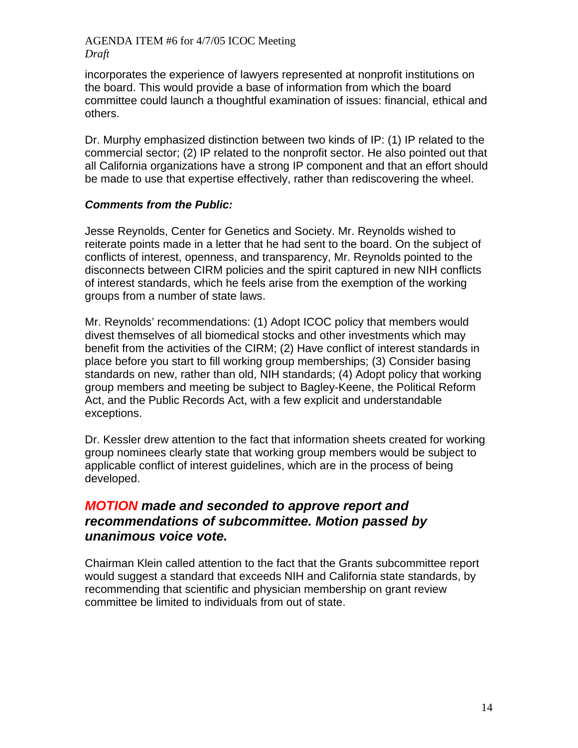incorporates the experience of lawyers represented at nonprofit institutions on the board. This would provide a base of information from which the board committee could launch a thoughtful examination of issues: financial, ethical and others.

Dr. Murphy emphasized distinction between two kinds of IP: (1) IP related to the commercial sector; (2) IP related to the nonprofit sector. He also pointed out that all California organizations have a strong IP component and that an effort should be made to use that expertise effectively, rather than rediscovering the wheel.

### *Comments from the Public:*

Jesse Reynolds, Center for Genetics and Society. Mr. Reynolds wished to reiterate points made in a letter that he had sent to the board. On the subject of conflicts of interest, openness, and transparency, Mr. Reynolds pointed to the disconnects between CIRM policies and the spirit captured in new NIH conflicts of interest standards, which he feels arise from the exemption of the working groups from a number of state laws.

Mr. Reynolds' recommendations: (1) Adopt ICOC policy that members would divest themselves of all biomedical stocks and other investments which may benefit from the activities of the CIRM; (2) Have conflict of interest standards in place before you start to fill working group memberships; (3) Consider basing standards on new, rather than old, NIH standards; (4) Adopt policy that working group members and meeting be subject to Bagley-Keene, the Political Reform Act, and the Public Records Act, with a few explicit and understandable exceptions.

Dr. Kessler drew attention to the fact that information sheets created for working group nominees clearly state that working group members would be subject to applicable conflict of interest guidelines, which are in the process of being developed.

## *MOTION made and seconded to approve report and recommendations of subcommittee. Motion passed by unanimous voice vote.*

Chairman Klein called attention to the fact that the Grants subcommittee report would suggest a standard that exceeds NIH and California state standards, by recommending that scientific and physician membership on grant review committee be limited to individuals from out of state.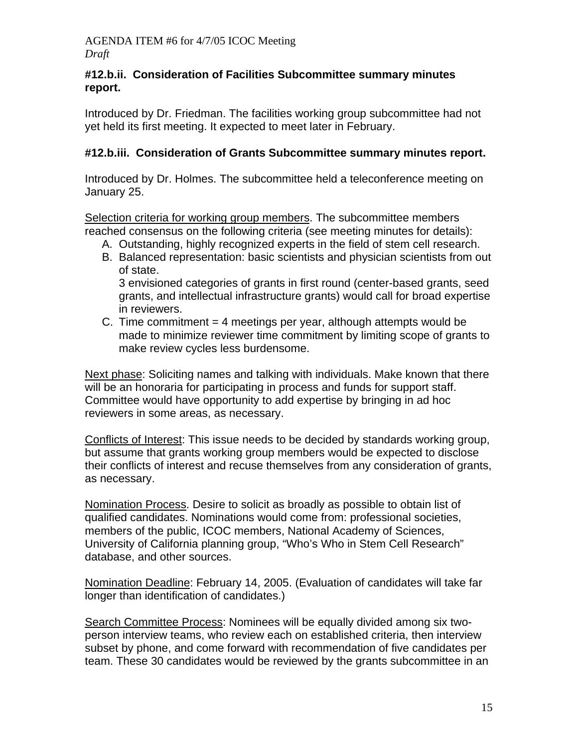### **#12.b.ii. Consideration of Facilities Subcommittee summary minutes report.**

Introduced by Dr. Friedman. The facilities working group subcommittee had not yet held its first meeting. It expected to meet later in February.

## **#12.b.iii. Consideration of Grants Subcommittee summary minutes report.**

Introduced by Dr. Holmes. The subcommittee held a teleconference meeting on January 25.

Selection criteria for working group members. The subcommittee members reached consensus on the following criteria (see meeting minutes for details):

- A. Outstanding, highly recognized experts in the field of stem cell research.
- B. Balanced representation: basic scientists and physician scientists from out of state.

3 envisioned categories of grants in first round (center-based grants, seed grants, and intellectual infrastructure grants) would call for broad expertise in reviewers.

C. Time commitment  $=$  4 meetings per year, although attempts would be made to minimize reviewer time commitment by limiting scope of grants to make review cycles less burdensome.

Next phase: Soliciting names and talking with individuals. Make known that there will be an honoraria for participating in process and funds for support staff. Committee would have opportunity to add expertise by bringing in ad hoc reviewers in some areas, as necessary.

Conflicts of Interest: This issue needs to be decided by standards working group, but assume that grants working group members would be expected to disclose their conflicts of interest and recuse themselves from any consideration of grants, as necessary.

Nomination Process. Desire to solicit as broadly as possible to obtain list of qualified candidates. Nominations would come from: professional societies, members of the public, ICOC members, National Academy of Sciences, University of California planning group, "Who's Who in Stem Cell Research" database, and other sources.

Nomination Deadline: February 14, 2005. (Evaluation of candidates will take far longer than identification of candidates.)

Search Committee Process: Nominees will be equally divided among six twoperson interview teams, who review each on established criteria, then interview subset by phone, and come forward with recommendation of five candidates per team. These 30 candidates would be reviewed by the grants subcommittee in an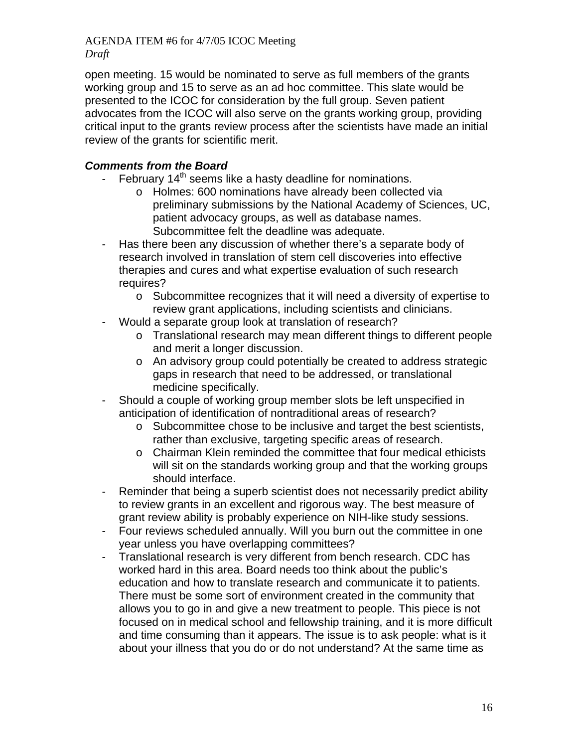open meeting. 15 would be nominated to serve as full members of the grants working group and 15 to serve as an ad hoc committee. This slate would be presented to the ICOC for consideration by the full group. Seven patient advocates from the ICOC will also serve on the grants working group, providing critical input to the grants review process after the scientists have made an initial review of the grants for scientific merit.

## *Comments from the Board*

- February  $14<sup>th</sup>$  seems like a hasty deadline for nominations.
	- o Holmes: 600 nominations have already been collected via preliminary submissions by the National Academy of Sciences, UC, patient advocacy groups, as well as database names. Subcommittee felt the deadline was adequate.
- Has there been any discussion of whether there's a separate body of research involved in translation of stem cell discoveries into effective therapies and cures and what expertise evaluation of such research requires?
	- o Subcommittee recognizes that it will need a diversity of expertise to review grant applications, including scientists and clinicians.
- Would a separate group look at translation of research?
	- o Translational research may mean different things to different people and merit a longer discussion.
	- o An advisory group could potentially be created to address strategic gaps in research that need to be addressed, or translational medicine specifically.
- Should a couple of working group member slots be left unspecified in anticipation of identification of nontraditional areas of research?
	- o Subcommittee chose to be inclusive and target the best scientists, rather than exclusive, targeting specific areas of research.
	- o Chairman Klein reminded the committee that four medical ethicists will sit on the standards working group and that the working groups should interface.
- Reminder that being a superb scientist does not necessarily predict ability to review grants in an excellent and rigorous way. The best measure of grant review ability is probably experience on NIH-like study sessions.
- Four reviews scheduled annually. Will you burn out the committee in one year unless you have overlapping committees?
- Translational research is very different from bench research. CDC has worked hard in this area. Board needs too think about the public's education and how to translate research and communicate it to patients. There must be some sort of environment created in the community that allows you to go in and give a new treatment to people. This piece is not focused on in medical school and fellowship training, and it is more difficult and time consuming than it appears. The issue is to ask people: what is it about your illness that you do or do not understand? At the same time as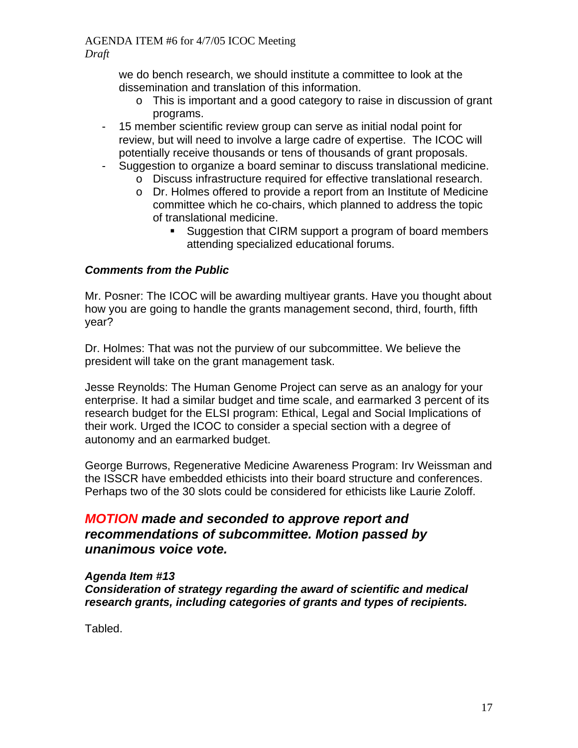we do bench research, we should institute a committee to look at the dissemination and translation of this information.

- o This is important and a good category to raise in discussion of grant programs.
- 15 member scientific review group can serve as initial nodal point for review, but will need to involve a large cadre of expertise. The ICOC will potentially receive thousands or tens of thousands of grant proposals.
- Suggestion to organize a board seminar to discuss translational medicine.
	- o Discuss infrastructure required for effective translational research.
		- o Dr. Holmes offered to provide a report from an Institute of Medicine committee which he co-chairs, which planned to address the topic of translational medicine.
			- **Suggestion that CIRM support a program of board members** attending specialized educational forums.

## *Comments from the Public*

Mr. Posner: The ICOC will be awarding multiyear grants. Have you thought about how you are going to handle the grants management second, third, fourth, fifth year?

Dr. Holmes: That was not the purview of our subcommittee. We believe the president will take on the grant management task.

Jesse Reynolds: The Human Genome Project can serve as an analogy for your enterprise. It had a similar budget and time scale, and earmarked 3 percent of its research budget for the ELSI program: Ethical, Legal and Social Implications of their work. Urged the ICOC to consider a special section with a degree of autonomy and an earmarked budget.

George Burrows, Regenerative Medicine Awareness Program: Irv Weissman and the ISSCR have embedded ethicists into their board structure and conferences. Perhaps two of the 30 slots could be considered for ethicists like Laurie Zoloff.

## *MOTION made and seconded to approve report and recommendations of subcommittee. Motion passed by unanimous voice vote.*

### *Agenda Item #13 Consideration of strategy regarding the award of scientific and medical research grants, including categories of grants and types of recipients.*

Tabled.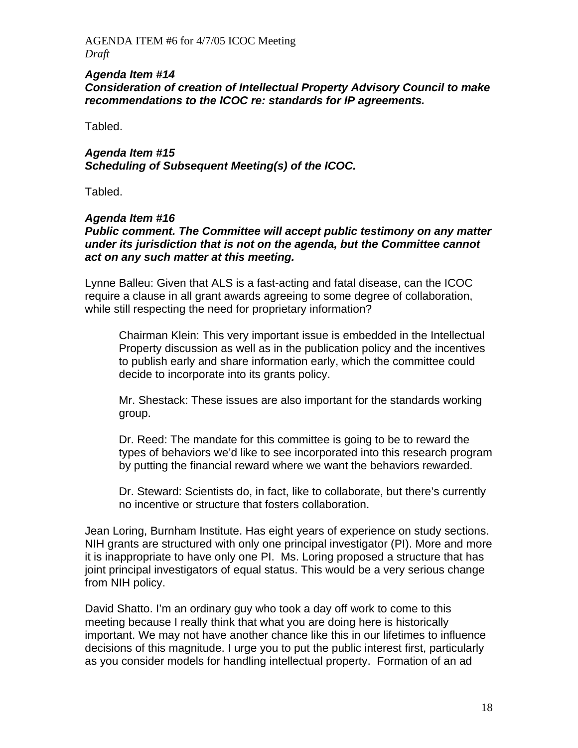#### *Agenda Item #14 Consideration of creation of Intellectual Property Advisory Council to make recommendations to the ICOC re: standards for IP agreements.*

Tabled.

### *Agenda Item #15 Scheduling of Subsequent Meeting(s) of the ICOC.*

Tabled.

### *Agenda Item #16*

*Public comment. The Committee will accept public testimony on any matter under its jurisdiction that is not on the agenda, but the Committee cannot act on any such matter at this meeting.*

Lynne Balleu: Given that ALS is a fast-acting and fatal disease, can the ICOC require a clause in all grant awards agreeing to some degree of collaboration, while still respecting the need for proprietary information?

Chairman Klein: This very important issue is embedded in the Intellectual Property discussion as well as in the publication policy and the incentives to publish early and share information early, which the committee could decide to incorporate into its grants policy.

Mr. Shestack: These issues are also important for the standards working group.

Dr. Reed: The mandate for this committee is going to be to reward the types of behaviors we'd like to see incorporated into this research program by putting the financial reward where we want the behaviors rewarded.

Dr. Steward: Scientists do, in fact, like to collaborate, but there's currently no incentive or structure that fosters collaboration.

Jean Loring, Burnham Institute. Has eight years of experience on study sections. NIH grants are structured with only one principal investigator (PI). More and more it is inappropriate to have only one PI. Ms. Loring proposed a structure that has joint principal investigators of equal status. This would be a very serious change from NIH policy.

David Shatto. I'm an ordinary guy who took a day off work to come to this meeting because I really think that what you are doing here is historically important. We may not have another chance like this in our lifetimes to influence decisions of this magnitude. I urge you to put the public interest first, particularly as you consider models for handling intellectual property. Formation of an ad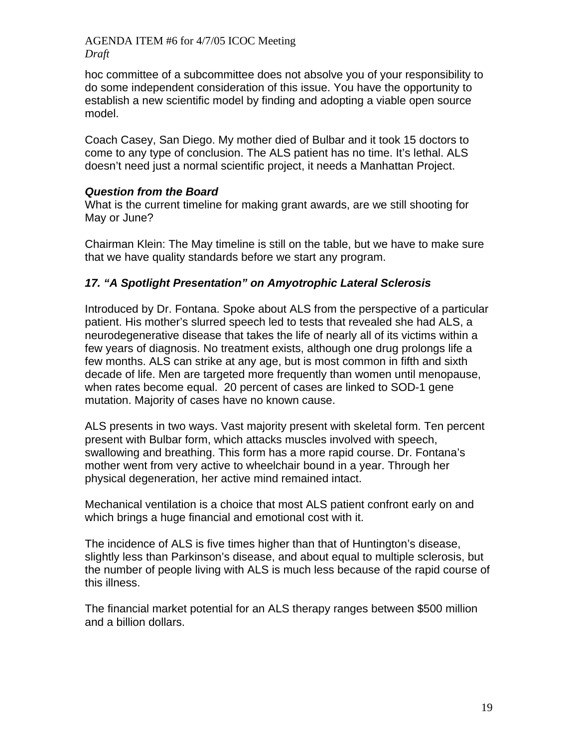hoc committee of a subcommittee does not absolve you of your responsibility to do some independent consideration of this issue. You have the opportunity to establish a new scientific model by finding and adopting a viable open source model.

Coach Casey, San Diego. My mother died of Bulbar and it took 15 doctors to come to any type of conclusion. The ALS patient has no time. It's lethal. ALS doesn't need just a normal scientific project, it needs a Manhattan Project.

### *Question from the Board*

What is the current timeline for making grant awards, are we still shooting for May or June?

Chairman Klein: The May timeline is still on the table, but we have to make sure that we have quality standards before we start any program.

## *17. "A Spotlight Presentation" on Amyotrophic Lateral Sclerosis*

Introduced by Dr. Fontana. Spoke about ALS from the perspective of a particular patient. His mother's slurred speech led to tests that revealed she had ALS, a neurodegenerative disease that takes the life of nearly all of its victims within a few years of diagnosis. No treatment exists, although one drug prolongs life a few months. ALS can strike at any age, but is most common in fifth and sixth decade of life. Men are targeted more frequently than women until menopause, when rates become equal. 20 percent of cases are linked to SOD-1 gene mutation. Majority of cases have no known cause.

ALS presents in two ways. Vast majority present with skeletal form. Ten percent present with Bulbar form, which attacks muscles involved with speech, swallowing and breathing. This form has a more rapid course. Dr. Fontana's mother went from very active to wheelchair bound in a year. Through her physical degeneration, her active mind remained intact.

Mechanical ventilation is a choice that most ALS patient confront early on and which brings a huge financial and emotional cost with it.

The incidence of ALS is five times higher than that of Huntington's disease, slightly less than Parkinson's disease, and about equal to multiple sclerosis, but the number of people living with ALS is much less because of the rapid course of this illness.

The financial market potential for an ALS therapy ranges between \$500 million and a billion dollars.